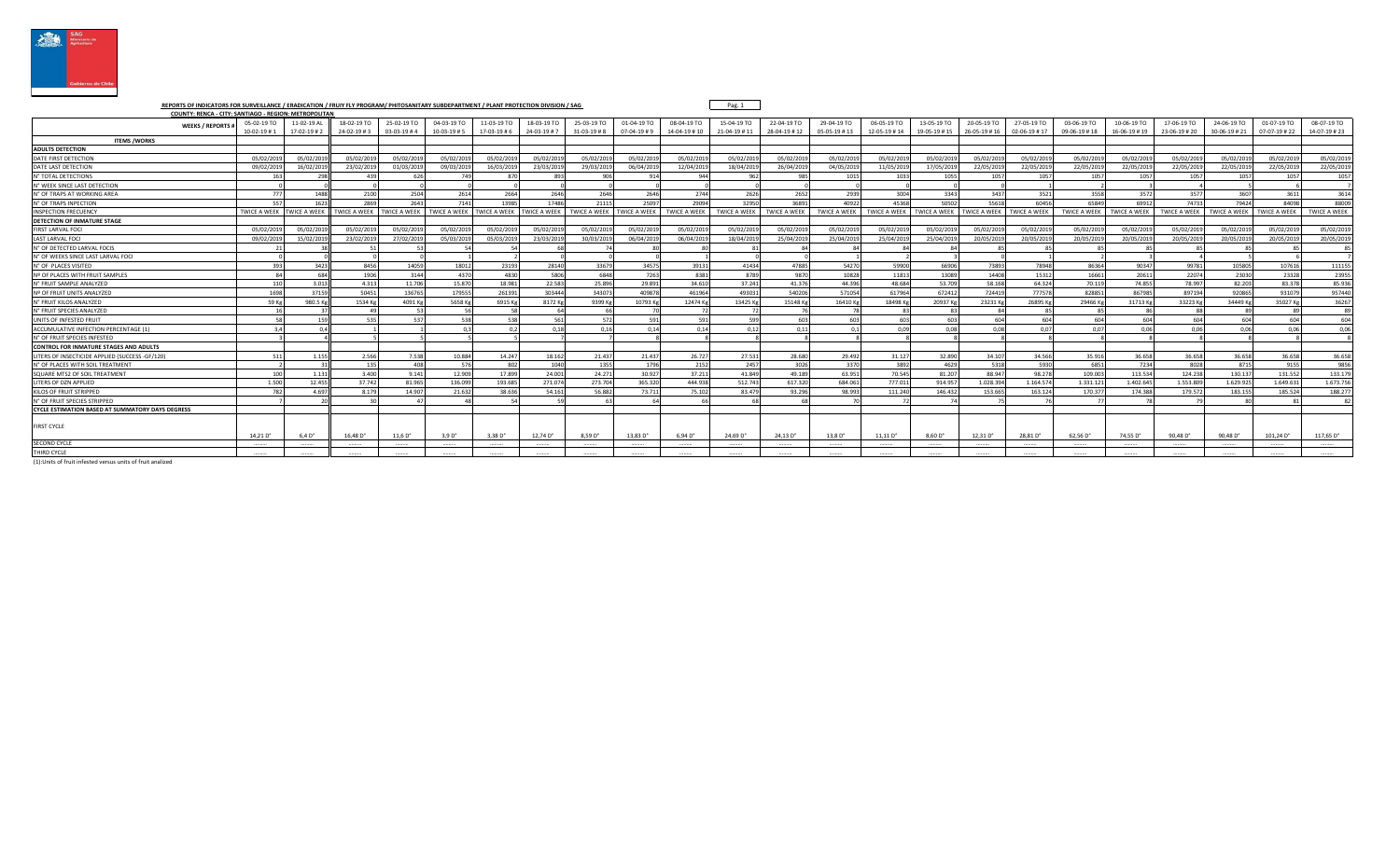

REPORTS OF INDICATORS FOR SURVEILLANCE / ERADICATION / FRUIY FLY PROGRAM/ PHITOSANITARY SUBDEPARTMENT / PLANT PROTECTION DIVISION / SAG<br>COUNTY: RENCA - CITY: SANTIAGO - REGION: METROPOLITAN

| <b>WEEKS / REPORTS</b>                                     | 05-02-19 TO         | 11-02-19 AL    | 18-02-19 TO               | 25-02-19 TO         | 04-03-19 TO         | 11-03-19 TO       | 18-03-19 TO         | 25-03-19 TO         | 01-04-19 TO         | 08-04-19 TO     | 15-04-19 TO          | 22-04-19 TO          | 29-04-19 TO         | 06-05-19 TO          | 13-05-19 TO         | 20-05-19 TO          | 27-05-19 TO         | 03-06-19 TO         | 10-06-19 TO         | 17-06-19 TO             | 24-06-19 TO         | 01-07-19 TO         | 08-07-19 TO         |
|------------------------------------------------------------|---------------------|----------------|---------------------------|---------------------|---------------------|-------------------|---------------------|---------------------|---------------------|-----------------|----------------------|----------------------|---------------------|----------------------|---------------------|----------------------|---------------------|---------------------|---------------------|-------------------------|---------------------|---------------------|---------------------|
|                                                            | $10-02-19$ #1       | 17-02-19#2     | $24 - 02 - 19 \# 3$       | $03-03-19#4$        | $10 - 03 - 19 + 5$  | $17 - 03 - 19$ #6 | $24 - 03 - 19 \# 7$ | $31 - 03 - 19$ #8   | $07 - 04 - 19 \# 9$ | 14-04-19 #10    | 21-04-19 #11         | 28-04-19 #12         | 05-05-19 #13        | 12-05-19 #14         | 19-05-19 #15        | $26 - 05 - 19 \# 16$ | $02 - 06 - 19 + 17$ | 09-06-19 #18        | 16-06-19#19         | 23-06-19 #20            | 30-06-19 # 21       | 07-07-19 #22        | 14-07-19 #23        |
| <b>ITEMS /WORKS</b>                                        |                     |                |                           |                     |                     |                   |                     |                     |                     |                 |                      |                      |                     |                      |                     |                      |                     |                     |                     |                         |                     |                     |                     |
| <b>ADULTS DETECTION</b>                                    |                     |                |                           |                     |                     |                   |                     |                     |                     |                 |                      |                      |                     |                      |                     |                      |                     |                     |                     |                         |                     |                     |                     |
| DATE FIRST DETECTION                                       | 05/02/201           | 05/02/201      | 05/02/201                 | 05/02/201           | 05/02/2019          | 05/02/201         | 05/02/201           | 05/02/2019          | 05/02/201           | 05/02/201       | 05/02/201            | 05/02/201            | 05/02/2019          | 05/02/201            | 05/02/201           | 05/02/201            | 05/02/201           | 05/02/201           | 05/02/201           | 05/02/20                | 05/02/2019          | 05/02/201           | 05/02/201           |
| DATE LAST DETECTION                                        | 09/02/201           | 16/02/2019     | 23/02/201                 | 01/03/2019          | 09/03/2019          | 16/03/201         | 23/03/201           | 29/03/2019          | 06/04/201           | 12/04/201       | 18/04/201            | 26/04/201            | 04/05/2019          | 11/05/201            | 17/05/2019          | 22/05/201            | 22/05/2019          | 22/05/2019          | 22/05/201           | 22/05/201               | 22/05/2019          | 22/05/201           | 22/05/201           |
| <b>N° TOTAL DETECTIONS</b>                                 | -163                | 298            | 43<                       | 626                 | 749                 | 870               | 893                 | 906                 | 91/                 |                 | 06                   | 985                  | 1015                | 1033                 | 1055                | 105                  | 1057                | 1057                | 1057                | 105                     | 1057                | 1057                | 1057                |
| <b>N° WEEK SINCE LAST DETECTION</b>                        |                     |                |                           |                     |                     |                   |                     |                     |                     |                 |                      |                      |                     |                      |                     |                      |                     |                     |                     |                         |                     |                     |                     |
| <b>N° OF TRAPS AT WORKING AREA</b>                         | 777                 | 1488           | 2100                      | 2504                | 2614                | 2664              | 2646                | 2646                | 2646                | 2744            | 2620                 | 2652                 | 2939                | 3004                 | 3343                | 3437                 | 3521                | 3558                | 3572                | 3577                    | 3607                | 3611                | 3614                |
| <b>N° OF TRAPS INPECTION</b>                               |                     | 1623           | 2869                      | 2643                | 7141                | 13985             | 17486               | 21115               | 25097               | 2909            | 32950                | 36891                | 40922               | 45368                | 50502               | 55618                | 60456               | 65849               | 69912               | 74733                   | 79424               | 84098               | 88009               |
| <b>NSPECTION FRECUENCY</b>                                 | <b>IWICE A WEEK</b> | NICE A WEEK    | <b>WICE A WEEK</b>        | <b>TWICE A WEEK</b> | <b>TWICE A WEEK</b> | WICE A WEEK       | <b>TWICE A WEEK</b> | <b>TWICE A WEEK</b> | WICE A WEEK         | TWICE A WEEK    | <b>TWICE A WEEK</b>  | <b>TWICE A WEEK</b>  | <b>TWICE A WEEK</b> | <b>TWICE A WEEK</b>  | <b>TWICE A WEEK</b> | <b>TWICE A WEEK</b>  | <b>WICE A WEEK</b>  | <b>TWICE A WEEK</b> | <b>TWICE A WEEK</b> | <b>TWICE A WEEK</b>     | <b>TWICE A WEEK</b> | <b>TWICE A WEEK</b> | <b>TWICE A WEEK</b> |
| DETECTION OF INMATURE STAGE                                |                     |                |                           |                     |                     |                   |                     |                     |                     |                 |                      |                      |                     |                      |                     |                      |                     |                     |                     |                         |                     |                     |                     |
| <b>FIRST LARVAL FOCI</b>                                   | 05/02/201           | 05/02/201      | 05/02/201                 | 05/02/201           | 05/02/2019          | 05/02/201         | 05/02/201           | 05/02/2019          | 05/02/201           | 05/02/20        | 05/02/201            | 05/02/201            | 05/02/2019          | 05/02/201            | 05/02/201           | 05/02/201            | 05/02/201           | 05/02/201           | 05/02/201           | 05/02/20                | 05/02/2019          | 05/02/201           | 05/02/201           |
| AST LARVAL FOCI                                            | 09/02/201           | 15/02/201      | 23/02/201                 | 27/02/201           | 05/03/201           | 05/03/201         | 23/03/201           | 30/03/2019          | 06/04/201           | 06/04/201       | 18/04/201            | 25/04/201            | 25/04/201           | 25/04/201            | 25/04/201           | 20/05/201            | 20/05/201           | 20/05/201           | 20/05/201           | 20/05/20                | 20/05/2019          | 20/05/201           | 20/05/201           |
| N° OF DETECTED LARVAL FOCIS                                |                     |                |                           |                     |                     |                   |                     |                     |                     |                 |                      |                      |                     |                      |                     |                      |                     |                     |                     |                         |                     |                     |                     |
| N° OF WEEKS SINCE LAST LARVAL FOCI                         |                     |                |                           |                     |                     |                   |                     |                     |                     |                 |                      |                      |                     |                      |                     |                      |                     |                     |                     |                         |                     |                     |                     |
| <b>N° OF PLACES VISITED</b>                                |                     | 3423           | 8456                      | 14059               | 18012               | 23193             | 28140               | 33679               | 34575               | 3913            | 41434                | 47885                | 54270               | 59900                | 66906               | 73893                | 78948               | 86364               | 90347               | 9978                    | 105805              | 107616              | 11115               |
| <b>Nº OF PLACES WITH FRUIT SAMPLES</b>                     |                     | 684            | 1906                      | 314                 | 4370                | 4830              | 580 <sub>6</sub>    | 6848                | 7263                | 838             | 878                  | 987                  | 10828               | 1181                 | 13089               | 1440                 | 1531                | 16663               | 20611               | 2207                    | 23030               | 2332                | 2395                |
| <b>N° FRUIT SAMPLE ANALYZED</b>                            |                     | 3 0 1 3        | 4.313                     | 11,706              | 15.870              | 18.981            | 22.583              | 25.896              | 29.891              | 34.61           | 37.243               | 41.37                | 44,396              | 48.684               | 53.709              | 58.16                | 64.324              | 70.119              | 74.855              | 78.99                   | 82.203              | 83,378              | 85.93               |
| <b>Nº OF FRUIT UNITS ANALYZED</b>                          | 1691                | 37159          | 50451                     | 13676               | 179555              | 261391            | 303444              | 343073              | 409878              | 46196           | 493033               | 54020                | 571054              | 61796                | 672412              | 724419               | 777578              | 828851              | 867985              | 89719                   | 92086               | 931079              | 957440              |
| N° FRUIT KILOS ANALYZED                                    | 59 K                | 980.5 Kg       | 1534 Kg                   | 4091 K              | 5658 Kg             | 6915 Kg           | 8172 Kg             | 9399 Kg             | 10793 Kg            | 12474 K         | 13425 K              | 15148 K              | 16410 Kg            | 18498 K              | 20937K              | 23231K               | 26895 Kg            | 29466 Kg            | 31713 Kg            | 332231                  | 34449 K             | 35027K              | 36267               |
| <b>N° ERUIT SPECIES ANALYZED</b>                           |                     |                |                           |                     |                     |                   |                     |                     |                     |                 |                      |                      |                     |                      |                     |                      |                     |                     |                     |                         |                     |                     |                     |
| UNITS OF INFESTED FRUIT                                    |                     |                | 535                       | 537                 | 538                 | 538               | 561                 | 572                 | 591                 |                 | 50                   | 603                  | 603                 | 603                  | 603                 | -60                  | 604                 | 604                 | 604                 | $\epsilon$ <sup>0</sup> | 604                 | 604                 | 604                 |
| <b>ACCUMULATIVE INFECTION PERCENTAGE (1</b>                |                     | 0.4            |                           |                     | 02                  | 0.2               | 0.18                | 0.16                | 0.14                | 0.14            | 0.12                 | 0.11                 | 0.1                 | 0.09                 | 0.08                | 0.03                 | 0.07                | 0.07                | 0.06                | 0.06                    | 0.06                | 0.06                | 0.06                |
| <b>N° OF FRUIT SPECIES INFESTED</b>                        |                     |                |                           |                     |                     |                   |                     |                     |                     |                 |                      |                      |                     |                      |                     |                      |                     |                     |                     |                         |                     |                     |                     |
| <b>CONTROL FOR INMATURE STAGES AND ADULTS</b>              |                     |                |                           |                     |                     |                   |                     |                     |                     |                 |                      |                      |                     |                      |                     |                      |                     |                     |                     |                         |                     |                     |                     |
| LITERS OF INSECTICIDE APPLIED (SUCCESS -GF/120)            | 511                 | 1.155          | 2.566                     | 7.538               | 10.884              | 14.247            | 18.162              | 21.437              | 21.437              | 26.727          | 27.53                | 28,680               | 29,492              | 31.127               | 32.890              | 34.107               | 34,566              | 35.916              | 36,658              | 36.658                  | 36.658              | 36.658              | 36.658              |
| <b>N° OF PLACES WITH SOIL TREATMENT</b>                    |                     |                | 135                       | 408                 | 576                 | 802               | 1040                | 1355                | 1796                | 2152            | 2457                 | 3026                 | 3370                | 3892                 | 4629                | 5318                 | 5930                | 6851                | 7234                | 802                     | 8715                | 9155                | 9856                |
| <b>SQUARE MTS2 OF SOIL TREATMENT</b>                       | 100                 | 1.131          | 3.400                     | 9.141               | 12.909              | 17.899            | 24.001              | 24.271              | 30.927              | 37.21           | 41.849               | 49.189               | 63.951              | 70.545               | 81.207              | 88.947               | 98.278              | 109.003             | 113.534             | 124,238                 | 130.137             | 131.552             | 133.179             |
| LITERS OF DZN APPLIED                                      | 1.500               | 12.455         | 37.742                    | 81.96               | 136.099             | 193.685           | 271.07              | 273.704             | 365.320             | 444.93          | 512.743              | 617.32               | 684.061             | 777.01               | 914.95              | 1.028.394            | 1.164.574           | 1.331.12            | 1.402.645           | 1.553.80                | 1.629.92            | 1.649.63            | 1.673.75            |
| <b>KILOS OF FRUIT STRIPPED</b>                             |                     | 4.697          | 8.179                     | 14.90               | 21.632              | 38.636            | 54.16               | 56.882              | 73.711              | 75.10           | 83.479               | 93.296               | 98.993              | 111.24               | 146.432             | 153.66               | 163.124             | 170.377             | 174,388             | 179.57                  | 183.15              | 185.524             | 188.27              |
| N° OF FRUIT SPECIES STRIPPED                               |                     |                |                           |                     |                     |                   |                     |                     |                     |                 |                      |                      |                     |                      |                     |                      |                     |                     |                     |                         |                     |                     |                     |
| <b>CYCLE ESTIMATION BASED AT SUMMATORY DAYS DEGRESS</b>    |                     |                |                           |                     |                     |                   |                     |                     |                     |                 |                      |                      |                     |                      |                     |                      |                     |                     |                     |                         |                     |                     |                     |
| <b>FIRST CYCLE</b>                                         | 14.21 D'            | $6.4D^{\circ}$ | $16.48\,\mathrm{D}^\circ$ | $11,6 D^{\circ}$    | 3.9 D <sup>o</sup>  | $3.38D^{\circ}$   | $12.74D$ °          | $8.59D^{\circ}$     | $13.83 D^{\circ}$   | $6.94D^{\circ}$ | 24.69 D <sup>o</sup> | 24.13 D <sup>o</sup> | 13.8 D°             | 11.11 D <sup>o</sup> | 8.60 D <sup>o</sup> | 12.31 D°             | 28.81 D°            | 62.56 D°            | 74.55 D°            | 90.48 D°                | 90.48 D°            | 101.24 D°           | 117.65 D°           |
| ECOND CYCLE                                                |                     |                |                           |                     |                     |                   |                     |                     |                     |                 |                      |                      |                     |                      |                     |                      |                     |                     |                     |                         |                     |                     |                     |
| HIRD CYCLE                                                 |                     |                |                           |                     |                     |                   |                     |                     |                     |                 |                      |                      |                     |                      |                     |                      |                     |                     |                     |                         |                     |                     |                     |
| (1):Units of fruit infested versus units of fruit analized |                     |                |                           |                     |                     |                   |                     |                     |                     |                 |                      |                      |                     |                      |                     |                      |                     |                     |                     |                         |                     |                     |                     |

Pag. 1